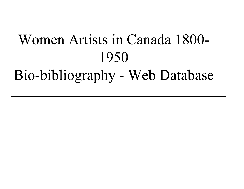# Women Artists in Canada 1800- 1950 Bio-bibliography - Web Database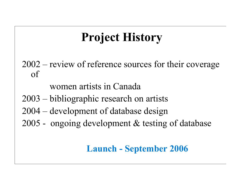### **Project History**

2002 – review of reference sources for their coverage of

women artists in Canada

- 2003 bibliographic research on artists
- 2004 development of database design
- 2005 ongoing development & testing of database

#### **Launch - September 2006**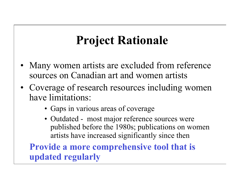#### **Project Rationale**

- Many women artists are excluded from reference sources on Canadian art and women artists
- Coverage of research resources including women have limitations:
	- Gaps in various areas of coverage
	- Outdated most major reference sources were published before the 1980s; publications on women artists have increased significantly since then

 **Provide a more comprehensive tool that is updated regularly**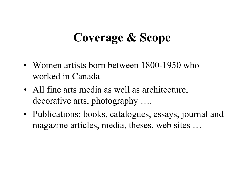#### **Coverage & Scope**

- Women artists born between 1800-1950 who worked in Canada
- All fine arts media as well as architecture, decorative arts, photography ….
- Publications: books, catalogues, essays, journal and magazine articles, media, theses, web sites …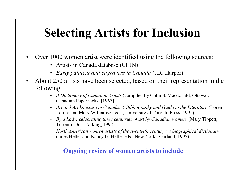#### **Selecting Artists for Inclusion**

- Over 1000 women artist were identified using the following sources:
	- Artists in Canada database (CHIN)
	- *Early painters and engravers in Canada* (J.R. Harper)
- About 250 artists have been selected, based on their representation in the following:
	- *A Dictionary of Canadian Artists* (compiled by Colin S. Macdonald, Ottawa : Canadian Paperbacks, [1967])
	- *Art and Architecture in Canada: A Bibliography and Guide to the Literature* (Loren Lerner and Mary Williamson eds., University of Toronto Press, 1991)
	- *By a Lady: celebrating three centuries of art by Canadian women* (Mary Tippett, Toronto, Ont. : Viking, 1992),
	- *North American women artists of the twentieth century : a biographical dictionary* (Jules Heller and Nancy G. Heller eds., New York : Garland, 1995).

#### **Ongoing review of women artists to include**